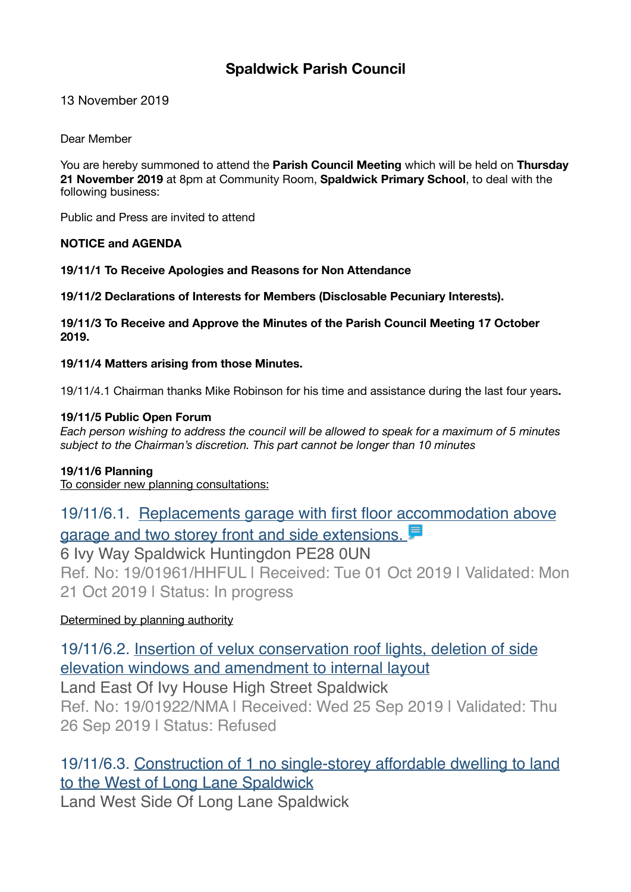# **Spaldwick Parish Council**

13 November 2019

Dear Member

You are hereby summoned to attend the **Parish Council Meeting** which will be held on **Thursday 21 November 2019** at 8pm at Community Room, **Spaldwick Primary School**, to deal with the following business:

Public and Press are invited to attend

# **NOTICE and AGENDA**

**19/11/1 To Receive Apologies and Reasons for Non Attendance** 

**19/11/2 Declarations of Interests for Members (Disclosable Pecuniary Interests).** 

**19/11/3 To Receive and Approve the Minutes of the Parish Council Meeting 17 October 2019.** 

**19/11/4 Matters arising from those Minutes.** 

19/11/4.1 Chairman thanks Mike Robinson for his time and assistance during the last four years**.** 

### **19/11/5 Public Open Forum**

*Each person wishing to address the council will be allowed to speak for a maximum of 5 minutes subject to the Chairman's discretion. This part cannot be longer than 10 minutes* 

#### **19/11/6 Planning**

To consider new planning consultations:

[19/11/6.1. Replacements garage with first floor accommodation above](https://publicaccess.huntingdonshire.gov.uk/online-applications/applicationDetails.do?keyVal=PYP012IKGKW00&activeTab=summary)  garage and two storey front and side extensions. 6 Ivy Way Spaldwick Huntingdon PE28 0UN Ref. No: 19/01961/HHFUL | Received: Tue 01 Oct 2019 | Validated: Mon 21 Oct 2019 | Status: In progress

Determined by planning authority

[19/11/6.2. Insertion of velux conservation roof lights, deletion of side](https://publicaccess.huntingdonshire.gov.uk/online-applications/applicationDetails.do?keyVal=PYFLCHIK0FA00&activeTab=summary)  [elevation windows and amendment to internal layout](https://publicaccess.huntingdonshire.gov.uk/online-applications/applicationDetails.do?keyVal=PYFLCHIK0FA00&activeTab=summary) Land East Of Ivy House High Street Spaldwick

Ref. No: 19/01922/NMA | Received: Wed 25 Sep 2019 | Validated: Thu 26 Sep 2019 | Status: Refused

# [19/11/6.3. Construction of 1 no single-storey affordable dwelling to land](https://publicaccess.huntingdonshire.gov.uk/online-applications/applicationDetails.do?keyVal=PVZ36CIKFKK00&activeTab=summary)  [to the West of Long Lane Spaldwick](https://publicaccess.huntingdonshire.gov.uk/online-applications/applicationDetails.do?keyVal=PVZ36CIKFKK00&activeTab=summary)

Land West Side Of Long Lane Spaldwick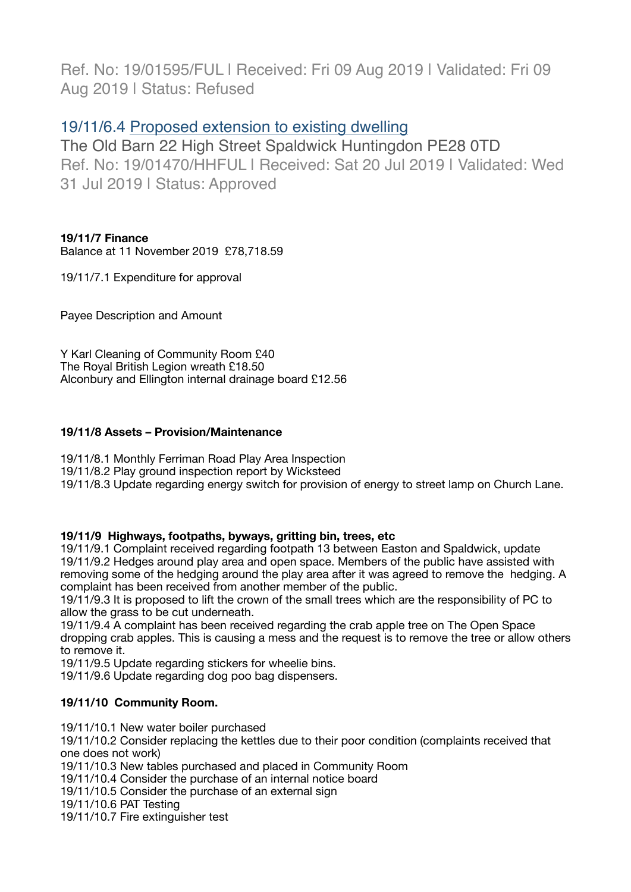Ref. No: 19/01595/FUL | Received: Fri 09 Aug 2019 | Validated: Fri 09 Aug 2019 | Status: Refused

# 19/11/6.4 [Proposed extension to existing dwelling](https://publicaccess.huntingdonshire.gov.uk/online-applications/applicationDetails.do?keyVal=PUXI5JIKMWA00&activeTab=summary)

The Old Barn 22 High Street Spaldwick Huntingdon PE28 0TD Ref. No: 19/01470/HHFUL | Received: Sat 20 Jul 2019 | Validated: Wed 31 Jul 2019 | Status: Approved

# **19/11/7 Finance**

Balance at 11 November 2019 £78,718.59

19/11/7.1 Expenditure for approval

Payee Description and Amount

Y Karl Cleaning of Community Room £40 The Royal British Legion wreath £18.50 Alconbury and Ellington internal drainage board £12.56

# **19/11/8 Assets – Provision/Maintenance**

19/11/8.1 Monthly Ferriman Road Play Area Inspection 19/11/8.2 Play ground inspection report by Wicksteed 19/11/8.3 Update regarding energy switch for provision of energy to street lamp on Church Lane.

# **19/11/9 Highways, footpaths, byways, gritting bin, trees, etc**

19/11/9.1 Complaint received regarding footpath 13 between Easton and Spaldwick, update 19/11/9.2 Hedges around play area and open space. Members of the public have assisted with removing some of the hedging around the play area after it was agreed to remove the hedging. A complaint has been received from another member of the public.

19/11/9.3 It is proposed to lift the crown of the small trees which are the responsibility of PC to allow the grass to be cut underneath.

19/11/9.4 A complaint has been received regarding the crab apple tree on The Open Space dropping crab apples. This is causing a mess and the request is to remove the tree or allow others to remove it.

19/11/9.5 Update regarding stickers for wheelie bins.

19/11/9.6 Update regarding dog poo bag dispensers.

# **19/11/10 Community Room.**

19/11/10.1 New water boiler purchased

19/11/10.2 Consider replacing the kettles due to their poor condition (complaints received that one does not work)

19/11/10.3 New tables purchased and placed in Community Room

19/11/10.4 Consider the purchase of an internal notice board

19/11/10.5 Consider the purchase of an external sign

19/11/10.6 PAT Testing

19/11/10.7 Fire extinguisher test